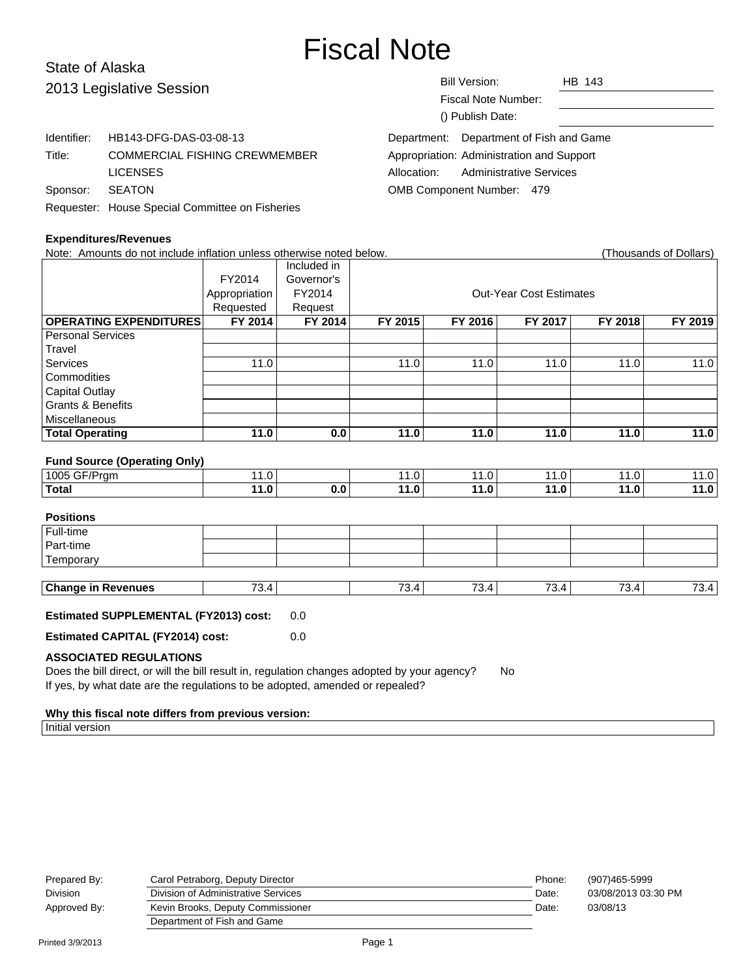# Fiscal Note

#### State of Alaska Bill Version: HB 143 Fiscal Note Number: () Publish Date: 2013 Legislative Session Identifier: HB143-DFG-DAS-03-08-13 Title: COMMERCIAL FISHING CREWMEMBER LICENSES Sponsor: SEATON Requester: House Special Committee on Fisheries Department: Department of Fish and Game Appropriation: Administration and Support Allocation: Administrative Services OMB Component Number: 479

## **Expenditures/Revenues**

|                                           | $U$ avitor Dato. |                                         |
|-------------------------------------------|------------------|-----------------------------------------|
|                                           |                  | Department: Department of Fish and Game |
| Appropriation: Administration and Support |                  |                                         |
| Allocation: Administrative Services       |                  |                                         |
| <b>OMB Component Number: 479</b>          |                  |                                         |

| Note: Amounts do not include inflation unless otherwise noted below.                                                                                                                                          |               |             |                                |              |                   |         | (Thousands of Dollars) |
|---------------------------------------------------------------------------------------------------------------------------------------------------------------------------------------------------------------|---------------|-------------|--------------------------------|--------------|-------------------|---------|------------------------|
|                                                                                                                                                                                                               |               | Included in |                                |              |                   |         |                        |
|                                                                                                                                                                                                               | FY2014        | Governor's  |                                |              |                   |         |                        |
|                                                                                                                                                                                                               | Appropriation | FY2014      | <b>Out-Year Cost Estimates</b> |              |                   |         |                        |
|                                                                                                                                                                                                               | Requested     | Request     |                                |              |                   |         |                        |
| <b>OPERATING EXPENDITURES</b>                                                                                                                                                                                 | FY 2014       | FY 2014     | FY 2015                        | FY 2016      | FY 2017           | FY 2018 | FY 2019                |
| <b>Personal Services</b>                                                                                                                                                                                      |               |             |                                |              |                   |         |                        |
| Travel                                                                                                                                                                                                        |               |             |                                |              |                   |         |                        |
| Services                                                                                                                                                                                                      | 11.0          |             | 11.0                           | 11.0         | 11.0              | 11.0    | 11.0                   |
| Commodities                                                                                                                                                                                                   |               |             |                                |              |                   |         |                        |
| <b>Capital Outlay</b>                                                                                                                                                                                         |               |             |                                |              |                   |         |                        |
| <b>Grants &amp; Benefits</b>                                                                                                                                                                                  |               |             |                                |              |                   |         |                        |
| Miscellaneous                                                                                                                                                                                                 |               |             |                                |              |                   |         |                        |
| <b>Total Operating</b>                                                                                                                                                                                        | 11.0          | 0.0         | 11.0                           | 11.0         | 11.0              | 11.0    | 11.0                   |
| <b>Fund Source (Operating Only)</b><br>1005 GF/Prgm                                                                                                                                                           | 11.0          |             |                                |              |                   |         |                        |
| <b>Total</b>                                                                                                                                                                                                  |               | 0.0         | 11.0<br>11.0                   | 11.0<br>11.0 | 11.0<br>11.0      | 11.0    | 11.0                   |
|                                                                                                                                                                                                               | 11.0          |             |                                |              |                   | 11.0    | $\overline{1}$ 1.0     |
| <b>Positions</b>                                                                                                                                                                                              |               |             |                                |              |                   |         |                        |
| Full-time                                                                                                                                                                                                     |               |             |                                |              |                   |         |                        |
| Part-time                                                                                                                                                                                                     |               |             |                                |              |                   |         |                        |
| Temporary                                                                                                                                                                                                     |               |             |                                |              |                   |         |                        |
|                                                                                                                                                                                                               |               |             |                                |              |                   |         |                        |
| <b>Change in Revenues</b>                                                                                                                                                                                     | 73.4          |             | 73.4                           | 73.4         | $\overline{73.4}$ | 73.4    | $\overline{73.4}$      |
| <b>Estimated SUPPLEMENTAL (FY2013) cost:</b>                                                                                                                                                                  |               | 0.0         |                                |              |                   |         |                        |
| <b>Estimated CAPITAL (FY2014) cost:</b>                                                                                                                                                                       |               | 0.0         |                                |              |                   |         |                        |
| <b>ASSOCIATED REGULATIONS</b><br>Does the bill direct, or will the bill result in, regulation changes adopted by your agency?<br>If yes, by what date are the regulations to be adopted, amended or repealed? |               |             |                                | <b>No</b>    |                   |         |                        |

#### **Why this fiscal note differs from previous version:**

Initial version

|       | (907)465-5999       |
|-------|---------------------|
| Date: | 03/08/2013 03:30 PM |
| Date: | 03/08/13            |
|       |                     |
|       |                     |